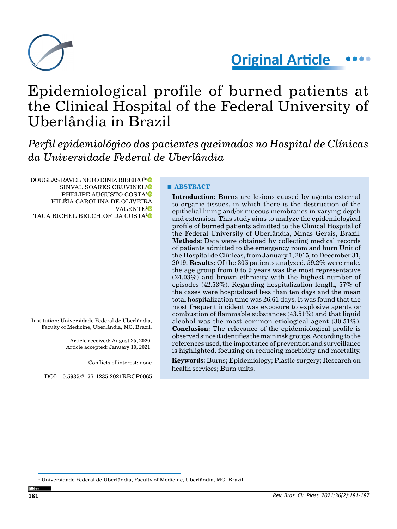

# **Original Article**

# Epidemiological profile of burned patients at the Clinical Hospital of the Federal University of Uberlândia in Brazil

*Perfil epidemiológico dos pacientes queimados no Hospital de Clínicas da Universidade Federal de Uberlândia*

DOUGLAS RAVEL NETO DINIZ RIBEIRO1 [\\*](https://orcid.org/0000-0002-0542-8028) SINVAL SOARES CRUVINEL<sup>[1](https://orcid.org/0000-0003-0081-5712)</sup> PHELIPE AUGUSTO COSTA<sup>[1](https://orcid.org/0000-0002-7292-1867)</sup><sup>®</sup> HILÉIA CAROLINA DE OLIVEIRA VALENTE<sup>[1](https://orcid.org/0000-0003-3208-5291)</sup><sup>D</sup> TAUÃ RICHEL BELCHIOR DA COSTA[1](https://orcid.org/0000-0002-7551-460X)

Institution: Universidade Federal de Uberlândia, Faculty of Medicine, Uberlândia, MG, Brazil.

> Article received: August 25, 2020. Article accepted: January 10, 2021.

> > Conflicts of interest: none

DOI: 10.5935/2177-1235.2021RBCP0065

#### **■ ABSTRACT**

**Introduction:** Burns are lesions caused by agents external to organic tissues, in which there is the destruction of the epithelial lining and/or mucous membranes in varying depth and extension. This study aims to analyze the epidemiological profile of burned patients admitted to the Clinical Hospital of the Federal University of Uberlândia, Minas Gerais, Brazil. **Methods:** Data were obtained by collecting medical records of patients admitted to the emergency room and burn Unit of the Hospital de Clínicas, from January 1, 2015, to December 31, 2019. **Results:** Of the 305 patients analyzed, 59.2% were male, the age group from 0 to 9 years was the most representative (24.03%) and brown ethnicity with the highest number of episodes (42.53%). Regarding hospitalization length, 57% of the cases were hospitalized less than ten days and the mean total hospitalization time was 26.61 days. It was found that the most frequent incident was exposure to explosive agents or combustion of flammable substances (43.51%) and that liquid alcohol was the most common etiological agent (30.51%). **Conclusion:** The relevance of the epidemiological profile is observed since it identifies the main risk groups. According to the references used, the importance of prevention and surveillance is highlighted, focusing on reducing morbidity and mortality.

**Keywords:** Burns; Epidemiology; Plastic surgery; Research on health services; Burn units.

 $^{\rm 1}$  Universidade Federal de Uberlândia, Faculty of Medicine, Uberlândia, MG, Brazil.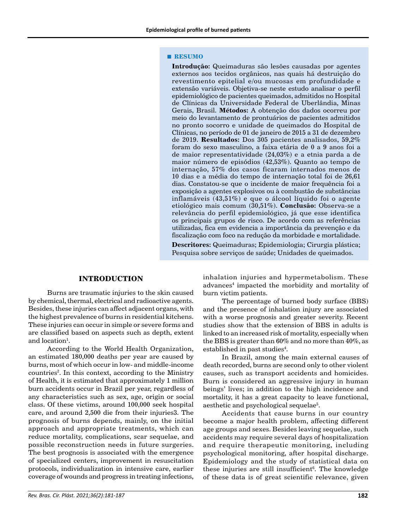#### **■ RESUMO**

**Introdução:** Queimaduras são lesões causadas por agentes externos aos tecidos orgânicos, nas quais há destruição do revestimento epitelial e/ou mucosas em profundidade e extensão variáveis. Objetiva-se neste estudo analisar o perfil epidemiológico de pacientes queimados, admitidos no Hospital de Clínicas da Universidade Federal de Uberlândia, Minas Gerais, Brasil. **Métodos:** A obtenção dos dados ocorreu por meio do levantamento de prontuários de pacientes admitidos no pronto socorro e unidade de queimados do Hospital de Clínicas, no período de 01 de janeiro de 2015 a 31 de dezembro de 2019. **Resultados:** Dos 305 pacientes analisados, 59,2% foram do sexo masculino, a faixa etária de 0 a 9 anos foi a de maior representatividade (24,03%) e a etnia parda a de maior número de episódios (42,53%). Quanto ao tempo de internação, 57% dos casos ficaram internados menos de 10 dias e a média do tempo de internação total foi de 26,61 dias. Constatou-se que o incidente de maior frequência foi a exposição a agentes explosivos ou à combustão de substâncias inflamáveis (43,51%) e que o álcool líquido foi o agente etiológico mais comum (30,51%). **Conclusão:** Observa-se a relevância do perfil epidemiológico, já que esse identifica os principais grupos de risco. De acordo com as referências utilizadas, fica em evidencia a importância da prevenção e da fiscalização com foco na redução da morbidade e mortalidade.

**Descritores:** Queimaduras; Epidemiologia; Cirurgia plástica; Pesquisa sobre serviços de saúde; Unidades de queimados.

#### **INTRODUCTION**

Burns are traumatic injuries to the skin caused by chemical, thermal, electrical and radioactive agents. Besides, these injuries can affect adjacent organs, with the highest prevalence of burns in residential kitchens. These injuries can occur in simple or severe forms and are classified based on aspects such as depth, extent and location $^{\rm l}$ .

According to the World Health Organization, an estimated 180,000 deaths per year are caused by burns, most of which occur in low- and middle-income countries<sup>2</sup>. In this context, according to the Ministry of Health, it is estimated that approximately 1 million burn accidents occur in Brazil per year, regardless of any characteristics such as sex, age, origin or social class. Of these victims, around 100,000 seek hospital care, and around 2,500 die from their injuries3. The prognosis of burns depends, mainly, on the initial approach and appropriate treatments, which can reduce mortality, complications, scar sequelae, and possible reconstruction needs in future surgeries. The best prognosis is associated with the emergence of specialized centers, improvement in resuscitation protocols, individualization in intensive care, earlier coverage of wounds and progress in treating infections,

inhalation injuries and hypermetabolism. These advances<sup>4</sup> impacted the morbidity and mortality of burn victim patients.

The percentage of burned body surface (BBS) and the presence of inhalation injury are associated with a worse prognosis and greater severity. Recent studies show that the extension of BBS in adults is linked to an increased risk of mortality, especially when the BBS is greater than 60% and no more than 40%, as established in past studies<sup>4</sup>.

In Brazil, among the main external causes of death recorded, burns are second only to other violent causes, such as transport accidents and homicides. Burn is considered an aggressive injury in human beings' lives; in addition to the high incidence and mortality, it has a great capacity to leave functional, aesthetic and psychological sequelae<sup>5</sup>.

Accidents that cause burns in our country become a major health problem, affecting different age groups and sexes. Besides leaving sequelae, such accidents may require several days of hospitalization and require therapeutic monitoring, including psychological monitoring, after hospital discharge. Epidemiology and the study of statistical data on these injuries are still insufficient<sup>6</sup>. The knowledge of these data is of great scientific relevance, given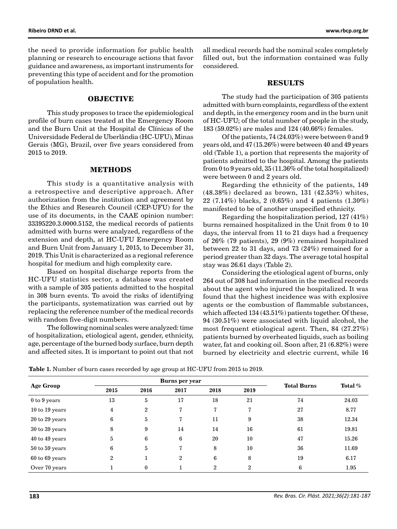the need to provide information for public health planning or research to encourage actions that favor guidance and awareness, as important instruments for preventing this type of accident and for the promotion of population health.

#### **OBJECTIVE**

This study proposes to trace the epidemiological profile of burn cases treated at the Emergency Room and the Burn Unit at the Hospital de Clínicas of the Universidade Federal de Uberlândia (HC-UFU), Minas Gerais (MG), Brazil, over five years considered from 2015 to 2019.

#### **METHODS**

This study is a quantitative analysis with a retrospective and descriptive approach. After authorization from the institution and agreement by the Ethics and Research Council (CEP-UFU) for the use of its documents, in the CAAE opinion number: 33395220.3.0000.5152, the medical records of patients admitted with burns were analyzed, regardless of the extension and depth, at HC-UFU Emergency Room and Burn Unit from January 1, 2015, to December 31, 2019. This Unit is characterized as a regional reference hospital for medium and high complexity care.

Based on hospital discharge reports from the HC-UFU statistics sector, a database was created with a sample of 305 patients admitted to the hospital in 308 burn events. To avoid the risks of identifying the participants, systematization was carried out by replacing the reference number of the medical records with random five-digit numbers.

The following nominal scales were analyzed: time of hospitalization, etiological agent, gender, ethnicity, age, percentage of the burned body surface, burn depth and affected sites. It is important to point out that not all medical records had the nominal scales completely filled out, but the information contained was fully considered.

#### **RESULTS**

The study had the participation of 305 patients admitted with burn complaints, regardless of the extent and depth, in the emergency room and in the burn unit of HC-UFU; of the total number of people in the study, 183 (59.02%) are males and 124 (40.66%) females.

Of the patients, 74 (24.03%) were between 0 and 9 years old, and 47 (15.26%) were between 40 and 49 years old (Table 1), a portion that represents the majority of patients admitted to the hospital. Among the patients from 0 to 9 years old, 35 (11.36% of the total hospitalized) were between 0 and 2 years old.

Regarding the ethnicity of the patients, 149 (48.38%) declared as brown, 131 (42.53%) whites, 22 (7.14%) blacks, 2 (0.65%) and 4 patients (1.30%) manifested to be of another unspecified ethnicity.

Regarding the hospitalization period, 127 (41%) burns remained hospitalized in the Unit from 0 to 10 days, the interval from 11 to 21 days had a frequency of 26% (79 patients), 29 (9%) remained hospitalized between 22 to 31 days, and 73 (24%) remained for a period greater than 32 days. The average total hospital stay was 26.61 days (Table 2).

Considering the etiological agent of burns, only 264 out of 308 had information in the medical records about the agent who injured the hospitalized. It was found that the highest incidence was with explosive agents or the combustion of flammable substances, which affected 134 (43.51%) patients together. Of these, 94 (30.51%) were associated with liquid alcohol, the most frequent etiological agent. Then, 84 (27.27%) patients burned by overheated liquids, such as boiling water, fat and cooking oil. Soon after, 21 (6.82%) were burned by electricity and electric current, while 16

| <b>Table 1.</b> Number of burn cases recorded by age group at HC-UFU from 2015 to 2019. |
|-----------------------------------------------------------------------------------------|
|-----------------------------------------------------------------------------------------|

| <b>Age Group</b>   |                | <b>Burns per year</b> | <b>Total Burns</b> | Total $\%$     |                |    |       |
|--------------------|----------------|-----------------------|--------------------|----------------|----------------|----|-------|
|                    | 2015           | 2016                  | 2017               | 2018           | 2019           |    |       |
| $0$ to $9$ years   | 13             | 5                     | 17                 | 18             | 21             | 74 | 24.03 |
| 10 to 19 years     | $\overline{4}$ | $\overline{2}$        | 7                  | 7              | 7              | 27 | 8.77  |
| $20$ to $29$ years | 6              | 5                     | 7                  | 11             | 9              | 38 | 12.34 |
| $30$ to $39$ years | 8              | 9                     | 14                 | 14             | 16             | 61 | 19.81 |
| $40$ to $49$ years | 5              | 6                     | 6                  | 20             | 10             | 47 | 15.26 |
| $50$ to $59$ years | 6              | 5                     | 7                  | 8              | 10             | 36 | 11.69 |
| $60$ to $69$ years | $\overline{2}$ |                       | $\overline{2}$     | 6              | 8              | 19 | 6.17  |
| Over 70 years      |                | $\mathbf{0}$          |                    | $\overline{2}$ | $\overline{2}$ | 6  | 1.95  |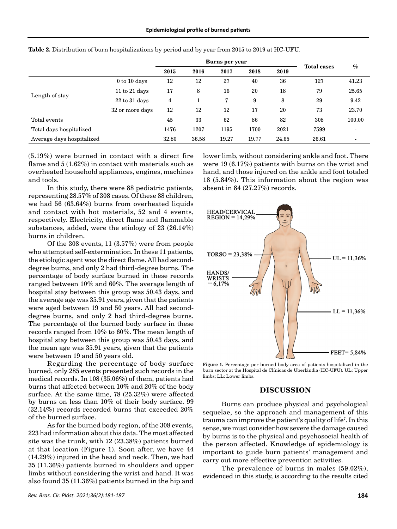|                           |                   |       | <b>Burns per year</b> |       |       |       |                    |        |
|---------------------------|-------------------|-------|-----------------------|-------|-------|-------|--------------------|--------|
|                           |                   | 2015  | 2016                  | 2017  | 2018  | 2019  | <b>Total cases</b> | $\%$   |
|                           | $0$ to $10$ days  | 12    | 12                    | 27    | 40    | 36    | 127                | 41.23  |
|                           | 11 to $21$ days   | 17    | 8                     | 16    | 20    | 18    | 79                 | 25.65  |
| Length of stay            | $22$ to $31$ days | 4     |                       | 7     | 9     | 8     | 29                 | 9.42   |
|                           | 32 or more days   | 12    | 12                    | 12    | 17    | 20    | 73                 | 23.70  |
| Total events              |                   | 45    | 33                    | 62    | 86    | 82    | 308                | 100.00 |
| Total days hospitalized   |                   | 1476  | 1207                  | 1195  | 1700  | 2021  | 7599               |        |
| Average days hospitalized |                   | 32.80 | 36.58                 | 19.27 | 19.77 | 24.65 | 26.61              |        |

**Table 2.** Distribution of burn hospitalizations by period and by year from 2015 to 2019 at HC-UFU.

(5.19%) were burned in contact with a direct fire flame and 5 (1.62%) in contact with materials such as overheated household appliances, engines, machines and tools.

In this study, there were 88 pediatric patients, representing 28.57% of 308 cases. Of these 88 children, we had 56 (63.64%) burns from overheated liquids and contact with hot materials, 52 and 4 events, respectively. Electricity, direct flame and flammable substances, added, were the etiology of 23 (26.14%) burns in children.

Of the 308 events, 11 (3.57%) were from people who attempted self-extermination. In these 11 patients, the etiologic agent was the direct flame. All had seconddegree burns, and only 2 had third-degree burns. The percentage of body surface burned in these records ranged between 10% and 60%. The average length of hospital stay between this group was 50.43 days, and the average age was 35.91 years, given that the patients were aged between 19 and 50 years. All had seconddegree burns, and only 2 had third-degree burns. The percentage of the burned body surface in these records ranged from 10% to 60%. The mean length of hospital stay between this group was 50.43 days, and the mean age was 35.91 years, given that the patients were between 19 and 50 years old.

Regarding the percentage of body surface burned, only 285 events presented such records in the medical records. In 108 (35.06%) of them, patients had burns that affected between 10% and 20% of the body surface. At the same time, 78 (25.32%) were affected by burns on less than 10% of their body surface. 99 (32.14%) records recorded burns that exceeded 20% of the burned surface.

As for the burned body region, of the 308 events, 223 had information about this data. The most affected site was the trunk, with 72 (23.38%) patients burned at that location (Figure 1). Soon after, we have 44 (14.29%) injured in the head and neck. Then, we had 35 (11.36%) patients burned in shoulders and upper limbs without considering the wrist and hand. It was also found 35 (11.36%) patients burned in the hip and

*Rev. Bras. Cir. Plást. 2021;36(2):181-187* **184**

lower limb, without considering ankle and foot. There were 19 (6.17%) patients with burns on the wrist and hand, and those injured on the ankle and foot totaled 18 (5.84%). This information about the region was absent in 84 (27.27%) records.



**Figure 1.** Percentage per burned body area of patients hospitalized in the burn sector at the Hospital de Clínicas de Uberlândia (HC-UFU). UL: Upper limbs; LL: Lower limbs.

#### **DISCUSSION**

Burns can produce physical and psychological sequelae, so the approach and management of this trauma can improve the patient's quality of life7 . In this sense, we must consider how severe the damage caused by burns is to the physical and psychosocial health of the person affected. Knowledge of epidemiology is important to guide burn patients' management and carry out more effective prevention activities.

The prevalence of burns in males (59.02%), evidenced in this study, is according to the results cited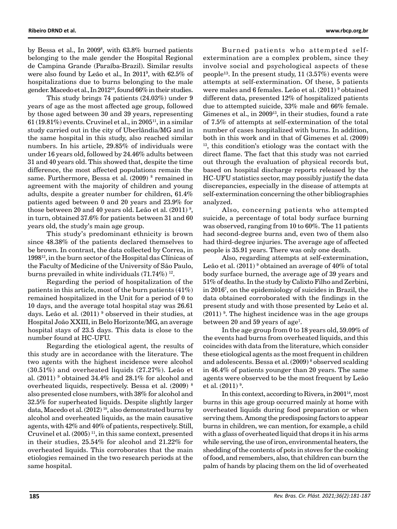by Bessa et al., In 2009 $^{\circ}$ , with 63.8 $\%$  burned patients belonging to the male gender the Hospital Regional de Campina Grande (Paraíba-Brazil). Similar results were also found by Leão et al., In 20119 , with 62.5% of hospitalizations due to burns belonging to the male gender. Macedo et al., In 2012<sup>10</sup>, found 66% in their studies.

This study brings 74 patients (24.03%) under 9 years of age as the most affected age group, followed by those aged between 30 and 39 years, representing  $61$  (19.81%) events. Cruvinel et al., in 2005<sup>11</sup>, in a similar study carried out in the city of Uberlândia/MG and in the same hospital in this study, also reached similar numbers. In his article, 29.85% of individuals were under 16 years old, followed by 24.46% adults between 31 and 40 years old. This showed that, despite the time difference, the most affected populations remain the same. Furthermore, Bessa et al. (2009) 8 remained in agreement with the majority of children and young adults, despite a greater number for children, 61.4% patients aged between 0 and 20 years and 23.9% for those between 20 and 40 years old. Leão et al.  $(2011)\,$ <sup>9</sup>, in turn, obtained 37.6% for patients between 31 and 60 years old, the study's main age group.

This study's predominant ethnicity is brown since 48.38% of the patients declared themselves to be brown. In contrast, the data collected by Correa, in 199812, in the burn sector of the Hospital das Clínicas of the Faculty of Medicine of the University of São Paulo, burns prevailed in white individuals (71.74%) 12.

Regarding the period of hospitalization of the patients in this article, most of the burn patients (41%) remained hospitalized in the Unit for a period of 0 to 10 days, and the average total hospital stay was 26.61 days. Leão et al. (2011) <sup>9</sup> observed in their studies, at Hospital João XXIII, in Belo Horizonte/MG, an average hospital stays of 23.5 days. This data is close to the number found at HC-UFU.

Regarding the etiological agent, the results of this study are in accordance with the literature. The two agents with the highest incidence were alcohol (30.51%) and overheated liquids (27.27%). Leão et al.  $(2011)$ <sup>9</sup> obtained 34.4% and 28.1% for alcohol and overheated liquids, respectively. Bessa et al. (2009) 8 also presented close numbers, with 38% for alcohol and 32.5% for superheated liquids. Despite slightly larger data, Macedo et al.  $(2012)^{10}$ , also demonstrated burns by alcohol and overheated liquids, as the main causative agents, with 42% and 40% of patients, respectively. Still, Cruvinel et al.  $(2005)^{11}$ , in this same context, presented in their studies, 25.54% for alcohol and 21.22% for overheated liquids. This corroborates that the main etiologies remained in the two research periods at the same hospital.

Burned patients who attempted selfextermination are a complex problem, since they involve social and psychological aspects of these people<sup>13</sup>. In the present study,  $11 (3.57%)$  events were attempts at self-extermination. Of these, 5 patients were males and 6 females. Leão et al. (2011) 9 obtained different data, presented 12% of hospitalized patients due to attempted suicide, 33% male and 66% female. Gimenes et al., in 2009<sup>13</sup>, in their studies, found a rate of 7.5% of attempts at self-extermination of the total number of cases hospitalized with burns. In addition, both in this work and in that of Gimenes et al. (2009) 13, this condition's etiology was the contact with the direct flame. The fact that this study was not carried out through the evaluation of physical records but, based on hospital discharge reports released by the HC-UFU statistics sector, may possibly justify the data discrepancies, especially in the disease of attempts at self-extermination concerning the other bibliographies analyzed.

Also, concerning patients who attempted suicide, a percentage of total body surface burning was observed, ranging from 10 to 60%. The 11 patients had second-degree burns and, even two of them also had third-degree injuries. The average age of affected people is 35.91 years. There was only one death.

Also, regarding attempts at self-extermination, Leão et al.  $(2011)$ <sup>9</sup> obtained an average of  $40\%$  of total body surface burned, the average age of 39 years and 51% of deaths. In the study by Calixto Filho and Zerbini, in 20167 , on the epidemiology of suicides in Brazil, the data obtained corroborated with the findings in the present study and with those presented by Leão et al.  $(2011)$ <sup>9</sup>. The highest incidence was in the age groups between 20 and 59 years of age<sup>7</sup>.

In the age group from 0 to 18 years old, 59.09% of the events had burns from overheated liquids, and this coincides with data from the literature, which consider these etiological agents as the most frequent in children and adolescents. Bessa et al. (2009)<sup>8</sup> observed scalding in 46.4% of patients younger than 20 years. The same agents were observed to be the most frequent by Leão et al.  $(2011)^9$ .

In this context, according to Rivera, in  $2001<sup>14</sup>$ , most burns in this age group occurred mainly at home with overheated liquids during food preparation or when serving them. Among the predisposing factors to appear burns in children, we can mention, for example, a child with a glass of overheated liquid that drops it in his arms while serving, the use of iron, environmental heaters, the shedding of the contents of pots in stoves for the cooking of food, and remembers, also, that children can burn the palm of hands by placing them on the lid of overheated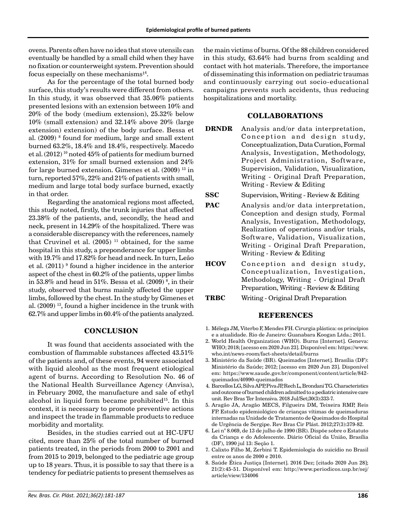ovens. Parents often have no idea that stove utensils can eventually be handled by a small child when they have no fixation or counterweight system. Prevention should focus especially on these mechanisms $^{\rm 14}$ .

As for the percentage of the total burned body surface, this study's results were different from others. In this study, it was observed that 35.06% patients presented lesions with an extension between 10% and 20% of the body (medium extension), 25.32% below 10% (small extension) and 32.14% above 20% (large extension) extension) of the body surface. Bessa et al. (2009) 8 found for medium, large and small extent burned 63.2%, 18.4% and 18.4%, respectively. Macedo et al. (2012) 10 noted 45% of patients for medium burned extension, 31% for small burned extension and 24% for large burned extension. Gimenes et al.  $(2009)^{13}$  in turn, reported 57%, 22% and 21% of patients with small, medium and large total body surface burned, exactly in that order.

Regarding the anatomical regions most affected, this study noted, firstly, the trunk injuries that affected 23.38% of the patients, and, secondly, the head and neck, present in 14.29% of the hospitalized. There was a considerable discrepancy with the references, namely that Cruvinel et al.  $(2005)^{-11}$  obtained, for the same hospital in this study, a preponderance for upper limbs with 19.7% and 17.82% for head and neck. In turn, Leão et al. (2011) 9 found a higher incidence in the anterior aspect of the chest in 60.2% of the patients, upper limbs in 53.8% and head in 51%. Bessa et al. (2009)  $^{\rm 8}$ , in their study, observed that burns mainly affected the upper limbs, followed by the chest. In the study by Gimenes et al. (2009) 13, found a higher incidence in the trunk with 62.7% and upper limbs in 60.4% of the patients analyzed.

## **CONCLUSION**

It was found that accidents associated with the combustion of flammable substances affected 43.51% of the patients and, of these events, 94 were associated with liquid alcohol as the most frequent etiological agent of burns. According to Resolution No. 46 of the National Health Surveillance Agency (Anvisa), in February 2002, the manufacture and sale of ethyl alcohol in liquid form became prohibited<sup>15</sup>. In this context, it is necessary to promote preventive actions and inspect the trade in flammable products to reduce morbidity and mortality.

Besides, in the studies carried out at HC-UFU cited, more than 25% of the total number of burned patients treated, in the periods from 2000 to 2001 and from 2015 to 2019, belonged to the pediatric age group up to 18 years. Thus, it is possible to say that there is a tendency for pediatric patients to present themselves as the main victims of burns. Of the 88 children considered in this study, 63.64% had burns from scalding and contact with hot materials. Therefore, the importance of disseminating this information on pediatric traumas and continuously carrying out socio-educational campaigns prevents such accidents, thus reducing hospitalizations and mortality.

#### **COLLABORATIONS**

- **DRNDR** Analysis and/or data interpretation, Conception and design study, Conceptualization, Data Curation, Formal Analysis, Investigation, Methodology, Project Administration, Software, Supervision, Validation, Visualization, Writing - Original Draft Preparation, Writing - Review & Editing
- **SSC** Supervision, Writing Review & Editing
- **PAC** Analysis and/or data interpretation, Conception and design study, Formal Analysis, Investigation, Methodology, Realization of operations and/or trials, Software, Validation, Visualization, Writing - Original Draft Preparation, Writing - Review & Editing
- **HCOV** Conception and design study, Conceptualization, Investigation, Methodology, Writing - Original Draft Preparation, Writing - Review & Editing
- **TRBC** Writing Original Draft Preparation

### **REFERENCES**

- 1. Mélega JM, Viterbo F, Mendes FH. Cirurgia plástica: os princípios e a atualidade. Rio de Janeiro: Guanabara Koogan Ltda.; 2011.
- 2. World Health Organization (WHO). Burns [Internet]. Geneva: WHO; 2018; [acesso em 2020 Jun 23]. Disponível em: [https://www.](https://www.who.int/news-room/fact-sheets/detail/burns) [who.int/news-room/fact-sheets/detail/burns](https://www.who.int/news-room/fact-sheets/detail/burns)
- 3. Ministério da Saúde (BR). Queimados [Internet]. Brasília (DF): Ministério da Saúde; 2012; [acesso em 2020 Jun 23]. Disponível em: [https://www.saude.gov.br/component/content/article/842](https://www.saude.gov.br/component/content/article/842-queimados/40990-queimados) [queimados/40990-queimados](https://www.saude.gov.br/component/content/article/842-queimados/40990-queimados)
- 4. Barcellos LG, Silva APP, Piva JP, Rech L, Brondani TG. Characteristics and outcome of burned children admitted to a pediatric intensive care unit. Rev Bras Ter Intensiva. 2018 Jul/Set;30(3):333-7.
- 5. Aragão JA, Aragão MECS, Filgueira DM, Teixeira RMP, Reis FP. Estudo epidemiológico de crianças vítimas de queimaduras internadas na Unidade de Tratamento de Queimados do Hospital de Urgência de Sergipe. Rev Bras Cir Plást. 2012;27(3):379-82.
- 6. Lei n° 8.069, de 13 de julho de 1990 (BR). Dispõe sobre o Estatuto da Criança e do Adolescente. Diário Oficial da União, Brasília (DF), 1990 jul 13: Seção 1.
- 7. Calixto Filho M, Zerbini T. Epidemiologia do suicídio no Brasil entre os anos de 2000 e 2010.
- 8. Saúde Ética Justiça [Internet]. 2016 Dez; [citado 2020 Jun 28]; 21(2):45-51. Disponível em: [http://www.periodicos.usp.br/sej/](http://www.periodicos.usp.br/sej/article/view/134006) [article/view/134006](http://www.periodicos.usp.br/sej/article/view/134006)